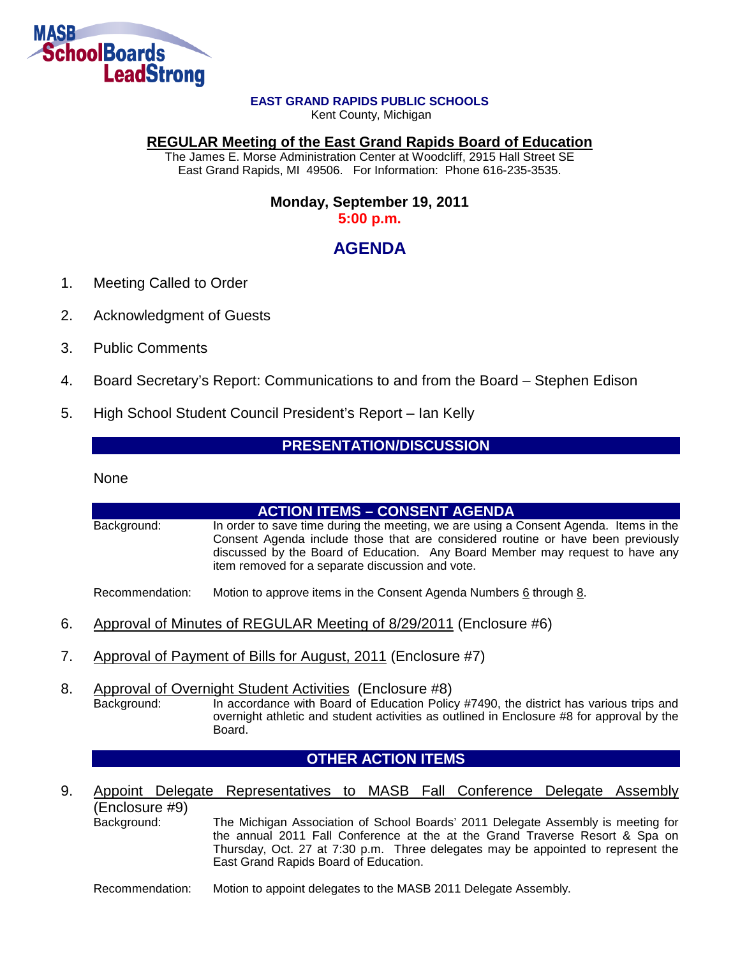

#### **EAST GRAND RAPIDS PUBLIC SCHOOLS**

Kent County, Michigan

#### **REGULAR Meeting of the East Grand Rapids Board of Education**

The James E. Morse Administration Center at Woodcliff, 2915 Hall Street SE East Grand Rapids, MI 49506. For Information: Phone 616-235-3535.

### **Monday, September 19, 2011 5:00 p.m.**

## **AGENDA**

- 1. Meeting Called to Order
- 2. Acknowledgment of Guests
- 3. Public Comments
- 4. Board Secretary's Report: Communications to and from the Board Stephen Edison
- 5. High School Student Council President's Report Ian Kelly

### **PRESENTATION/DISCUSSION**

None

# **ACTION ITEMS – CONSENT AGENDA** Background: In order to save time during the meeting, we are using a Consent Agenda. Items in the Consent Agenda include those that are considered routine or have been previously discussed by the Board of Education. Any Board Member may request to have any item removed for a separate discussion and vote. Recommendation: Motion to approve items in the Consent Agenda Numbers 6 through 8. 6. Approval of Minutes of REGULAR Meeting of 8/29/2011 (Enclosure #6) 7. Approval of Payment of Bills for August, 2011 (Enclosure #7) 8. Approval of Overnight Student Activities (Enclosure #8)<br>Background: In accordance with Board of Education Polic In accordance with Board of Education Policy #7490, the district has various trips and overnight athletic and student activities as outlined in Enclosure #8 for approval by the Board. **OTHER ACTION ITEMS** 9. Appoint Delegate Representatives to MASB Fall Conference Delegate Assembly (Enclosure #9) The Michigan Association of School Boards' 2011 Delegate Assembly is meeting for the annual 2011 Fall Conference at the at the Grand Traverse Resort & Spa on Thursday, Oct. 27 at 7:30 p.m. Three delegates may be appointed to represent the East Grand Rapids Board of Education.

Recommendation: Motion to appoint delegates to the MASB 2011 Delegate Assembly.